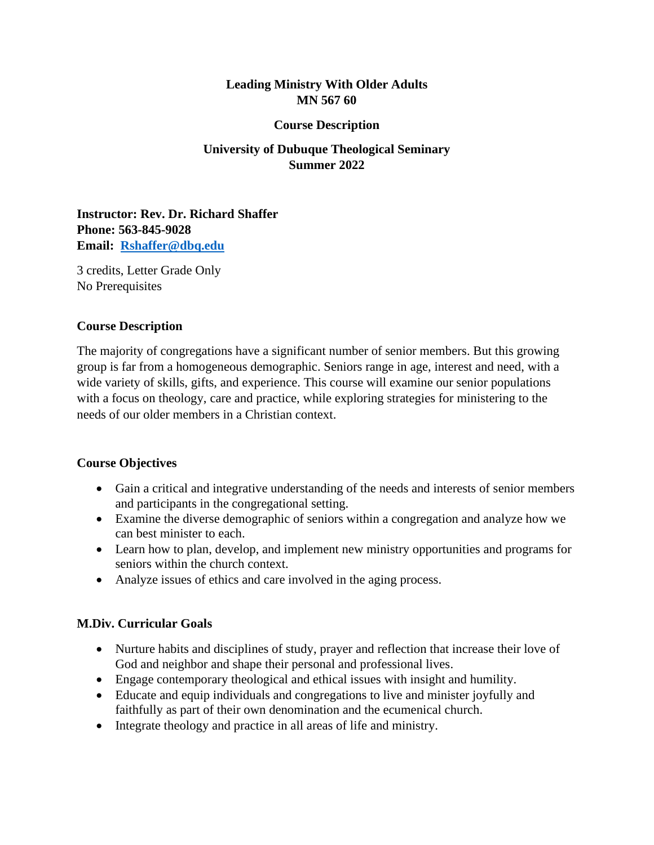## **Leading Ministry With Older Adults MN 567 60**

#### **Course Description**

# **University of Dubuque Theological Seminary Summer 2022**

**Instructor: Rev. Dr. Richard Shaffer Phone: 563-845-9028 Email: [Rshaffer@dbq.edu](mailto:Rshaffer@dbq.edu)**

3 credits, Letter Grade Only No Prerequisites

#### **Course Description**

The majority of congregations have a significant number of senior members. But this growing group is far from a homogeneous demographic. Seniors range in age, interest and need, with a wide variety of skills, gifts, and experience. This course will examine our senior populations with a focus on theology, care and practice, while exploring strategies for ministering to the needs of our older members in a Christian context.

### **Course Objectives**

- Gain a critical and integrative understanding of the needs and interests of senior members and participants in the congregational setting.
- Examine the diverse demographic of seniors within a congregation and analyze how we can best minister to each.
- Learn how to plan, develop, and implement new ministry opportunities and programs for seniors within the church context.
- Analyze issues of ethics and care involved in the aging process.

### **M.Div. Curricular Goals**

- Nurture habits and disciplines of study, prayer and reflection that increase their love of God and neighbor and shape their personal and professional lives.
- Engage contemporary theological and ethical issues with insight and humility.
- Educate and equip individuals and congregations to live and minister joyfully and faithfully as part of their own denomination and the ecumenical church.
- Integrate theology and practice in all areas of life and ministry.